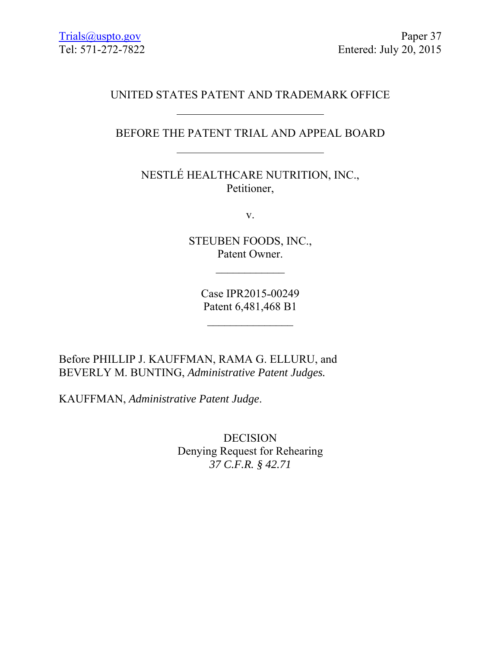# UNITED STATES PATENT AND TRADEMARK OFFICE

# BEFORE THE PATENT TRIAL AND APPEAL BOARD

NESTLÉ HEALTHCARE NUTRITION, INC., Petitioner,

v.

STEUBEN FOODS, INC., Patent Owner.

 $\frac{1}{2}$ 

Case IPR2015-00249 Patent 6,481,468 B1

 $\frac{1}{2}$ 

Before PHILLIP J. KAUFFMAN, RAMA G. ELLURU, and BEVERLY M. BUNTING, *Administrative Patent Judges.*

KAUFFMAN, *Administrative Patent Judge*.

DECISION Denying Request for Rehearing *37 C.F.R. § 42.71*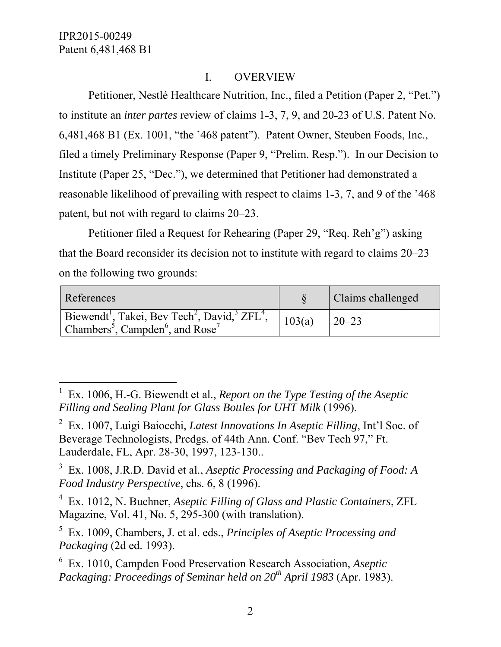$\overline{a}$ 

### I. OVERVIEW

 Petitioner, Nestlé Healthcare Nutrition, Inc., filed a Petition (Paper 2, "Pet.") to institute an *inter partes* review of claims 1-3, 7, 9, and 20-23 of U.S. Patent No. 6,481,468 B1 (Ex. 1001, "the '468 patent"). Patent Owner, Steuben Foods, Inc., filed a timely Preliminary Response (Paper 9, "Prelim. Resp."). In our Decision to Institute (Paper 25, "Dec."), we determined that Petitioner had demonstrated a reasonable likelihood of prevailing with respect to claims 1-3, 7, and 9 of the '468 patent, but not with regard to claims 20–23.

 Petitioner filed a Request for Rehearing (Paper 29, "Req. Reh'g") asking that the Board reconsider its decision not to institute with regard to claims 20–23 on the following two grounds:

| References                                                                                                                                     |        | Claims challenged |
|------------------------------------------------------------------------------------------------------------------------------------------------|--------|-------------------|
| Biewendt <sup>1</sup> , Takei, Bev Tech <sup>2</sup> , David, $ZFL4$ ,<br>Chambers <sup>5</sup> , Campden <sup>6</sup> , and Rose <sup>7</sup> | 103(a) | $20 - 23$         |

<sup>&</sup>lt;sup>1</sup> Ex. 1006, H.-G. Biewendt et al., *Report on the Type Testing of the Aseptic Filling and Sealing Plant for Glass Bottles for UHT Milk* (1996).

<sup>2</sup> Ex. 1007, Luigi Baiocchi, *Latest Innovations In Aseptic Filling*, Int'l Soc. of Beverage Technologists, Prcdgs. of 44th Ann. Conf. "Bev Tech 97," Ft. Lauderdale, FL, Apr. 28-30, 1997, 123-130..

<sup>3</sup> Ex. 1008, J.R.D. David et al., *Aseptic Processing and Packaging of Food: A Food Industry Perspective*, chs. 6, 8 (1996).

<sup>4</sup> Ex. 1012, N. Buchner, *Aseptic Filling of Glass and Plastic Containers*, ZFL Magazine, Vol. 41, No. 5, 295-300 (with translation).

<sup>5</sup> Ex. 1009, Chambers, J. et al. eds., *Principles of Aseptic Processing and Packaging* (2d ed. 1993).

<sup>6</sup> Ex. 1010, Campden Food Preservation Research Association, *Aseptic Packaging: Proceedings of Seminar held on 20th April 1983* (Apr. 1983).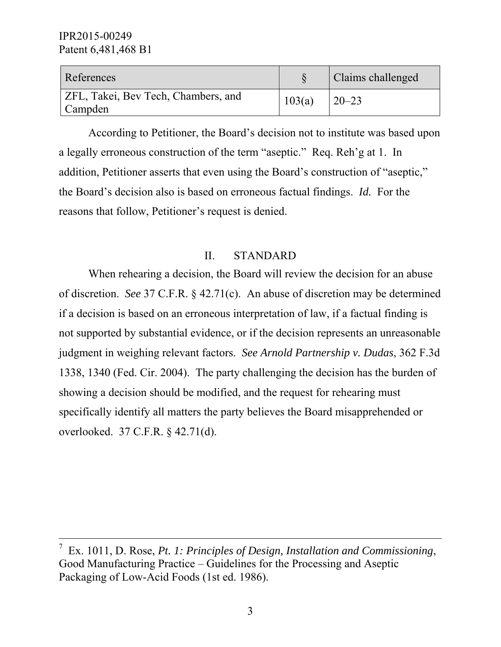| References                                            |        | Claims challenged |
|-------------------------------------------------------|--------|-------------------|
| <b>ZFL, Takei, Bev Tech, Chambers, and</b><br>Campden | 103(a) | $20 - 23$         |

According to Petitioner, the Board's decision not to institute was based upon a legally erroneous construction of the term "aseptic." Req. Reh'g at 1. In addition, Petitioner asserts that even using the Board's construction of "aseptic," the Board's decision also is based on erroneous factual findings. *Id.* For the reasons that follow, Petitioner's request is denied.

### II. STANDARD

 When rehearing a decision, the Board will review the decision for an abuse of discretion. *See* 37 C.F.R. § 42.71(c). An abuse of discretion may be determined if a decision is based on an erroneous interpretation of law, if a factual finding is not supported by substantial evidence, or if the decision represents an unreasonable judgment in weighing relevant factors. *See Arnold Partnership v. Dudas*, 362 F.3d 1338, 1340 (Fed. Cir. 2004). The party challenging the decision has the burden of showing a decision should be modified, and the request for rehearing must specifically identify all matters the party believes the Board misapprehended or overlooked. 37 C.F.R. § 42.71(d).

<sup>&</sup>lt;sup>-</sup>7 Ex. 1011, D. Rose, *Pt. 1: Principles of Design, Installation and Commissioning*, Good Manufacturing Practice – Guidelines for the Processing and Aseptic Packaging of Low-Acid Foods (1st ed. 1986).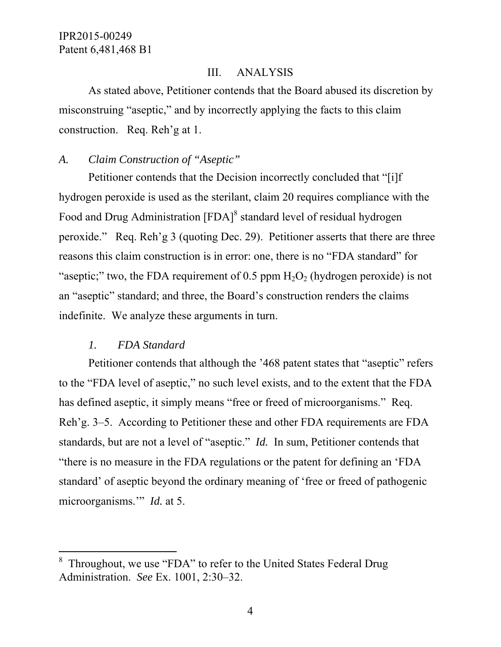#### III. ANALYSIS

As stated above, Petitioner contends that the Board abused its discretion by misconstruing "aseptic," and by incorrectly applying the facts to this claim construction. Req. Reh'g at 1.

### *A. Claim Construction of "Aseptic"*

Petitioner contends that the Decision incorrectly concluded that "[i]f hydrogen peroxide is used as the sterilant, claim 20 requires compliance with the Food and Drug Administration [FDA]<sup>8</sup> standard level of residual hydrogen peroxide." Req. Reh'g 3 (quoting Dec. 29). Petitioner asserts that there are three reasons this claim construction is in error: one, there is no "FDA standard" for "aseptic;" two, the FDA requirement of 0.5 ppm  $H_2O_2$  (hydrogen peroxide) is not an "aseptic" standard; and three, the Board's construction renders the claims indefinite. We analyze these arguments in turn.

## *1. FDA Standard*

-

Petitioner contends that although the '468 patent states that "aseptic" refers to the "FDA level of aseptic," no such level exists, and to the extent that the FDA has defined aseptic, it simply means "free or freed of microorganisms." Req. Reh'g. 3–5. According to Petitioner these and other FDA requirements are FDA standards, but are not a level of "aseptic." *Id.* In sum, Petitioner contends that "there is no measure in the FDA regulations or the patent for defining an 'FDA standard' of aseptic beyond the ordinary meaning of 'free or freed of pathogenic microorganisms.'" *Id.* at 5.

<sup>8</sup> Throughout, we use "FDA" to refer to the United States Federal Drug Administration. *See* Ex. 1001, 2:30–32.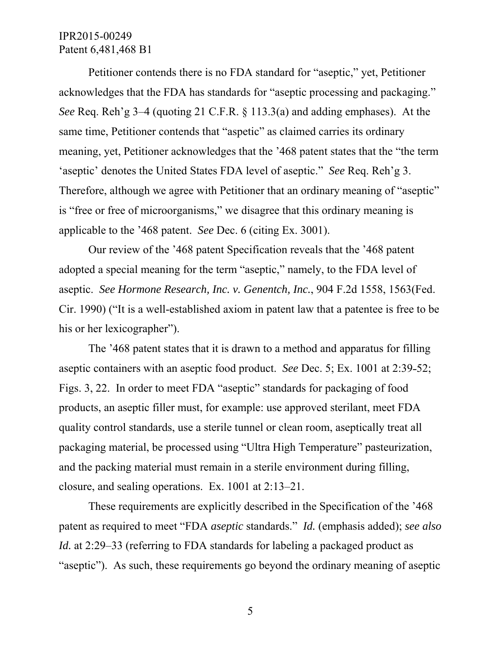Petitioner contends there is no FDA standard for "aseptic," yet, Petitioner acknowledges that the FDA has standards for "aseptic processing and packaging." *See* Req. Reh'g 3–4 (quoting 21 C.F.R. § 113.3(a) and adding emphases). At the same time, Petitioner contends that "aspetic" as claimed carries its ordinary meaning, yet, Petitioner acknowledges that the '468 patent states that the "the term 'aseptic' denotes the United States FDA level of aseptic." *See* Req. Reh'g 3. Therefore, although we agree with Petitioner that an ordinary meaning of "aseptic" is "free or free of microorganisms," we disagree that this ordinary meaning is applicable to the '468 patent. *See* Dec. 6 (citing Ex. 3001).

Our review of the '468 patent Specification reveals that the '468 patent adopted a special meaning for the term "aseptic," namely, to the FDA level of aseptic. *See Hormone Research, Inc. v. Genentch, Inc.*, 904 F.2d 1558, 1563(Fed. Cir. 1990) ("It is a well-established axiom in patent law that a patentee is free to be his or her lexicographer").

The '468 patent states that it is drawn to a method and apparatus for filling aseptic containers with an aseptic food product. *See* Dec. 5; Ex. 1001 at 2:39-52; Figs. 3, 22. In order to meet FDA "aseptic" standards for packaging of food products, an aseptic filler must, for example: use approved sterilant, meet FDA quality control standards, use a sterile tunnel or clean room, aseptically treat all packaging material, be processed using "Ultra High Temperature" pasteurization, and the packing material must remain in a sterile environment during filling, closure, and sealing operations. Ex. 1001 at 2:13–21.

These requirements are explicitly described in the Specification of the '468 patent as required to meet "FDA *aseptic* standards." *Id.* (emphasis added); *see also Id.* at 2:29–33 (referring to FDA standards for labeling a packaged product as "aseptic"). As such, these requirements go beyond the ordinary meaning of aseptic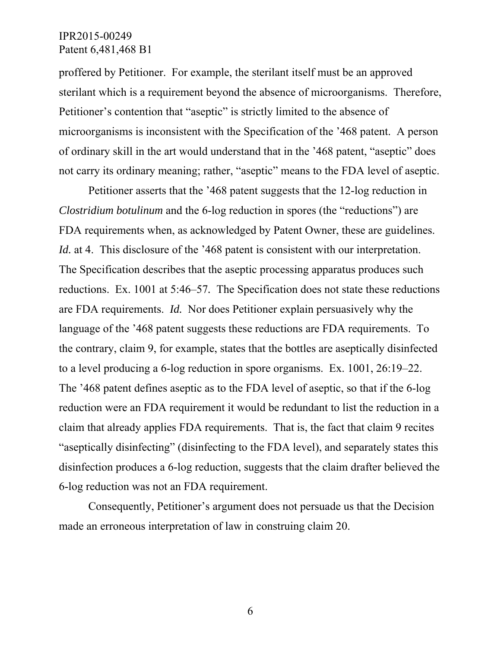proffered by Petitioner. For example, the sterilant itself must be an approved sterilant which is a requirement beyond the absence of microorganisms. Therefore, Petitioner's contention that "aseptic" is strictly limited to the absence of microorganisms is inconsistent with the Specification of the '468 patent. A person of ordinary skill in the art would understand that in the '468 patent, "aseptic" does not carry its ordinary meaning; rather, "aseptic" means to the FDA level of aseptic.

Petitioner asserts that the '468 patent suggests that the 12-log reduction in *Clostridium botulinum* and the 6-log reduction in spores (the "reductions") are FDA requirements when, as acknowledged by Patent Owner, these are guidelines. *Id.* at 4. This disclosure of the '468 patent is consistent with our interpretation. The Specification describes that the aseptic processing apparatus produces such reductions. Ex. 1001 at 5:46–57*.* The Specification does not state these reductions are FDA requirements. *Id.* Nor does Petitioner explain persuasively why the language of the '468 patent suggests these reductions are FDA requirements. To the contrary, claim 9, for example, states that the bottles are aseptically disinfected to a level producing a 6-log reduction in spore organisms. Ex. 1001, 26:19–22. The '468 patent defines aseptic as to the FDA level of aseptic, so that if the 6-log reduction were an FDA requirement it would be redundant to list the reduction in a claim that already applies FDA requirements. That is, the fact that claim 9 recites "aseptically disinfecting" (disinfecting to the FDA level), and separately states this disinfection produces a 6-log reduction, suggests that the claim drafter believed the 6-log reduction was not an FDA requirement.

Consequently, Petitioner's argument does not persuade us that the Decision made an erroneous interpretation of law in construing claim 20.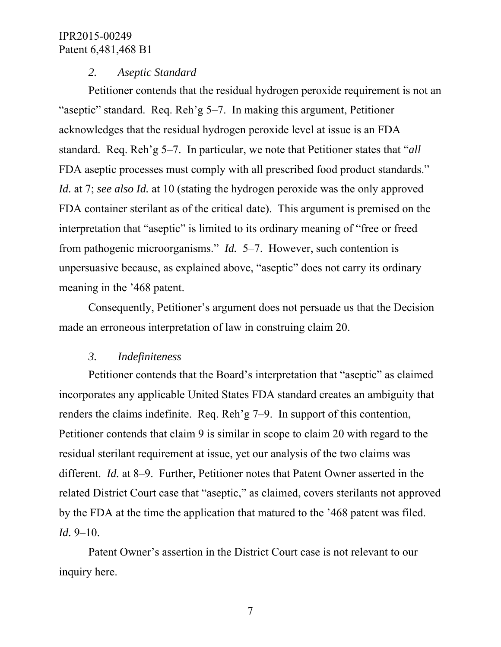#### *2. Aseptic Standard*

Petitioner contends that the residual hydrogen peroxide requirement is not an "aseptic" standard. Req. Reh'g 5–7. In making this argument, Petitioner acknowledges that the residual hydrogen peroxide level at issue is an FDA standard. Req. Reh'g 5–7. In particular, we note that Petitioner states that "*all* FDA aseptic processes must comply with all prescribed food product standards." *Id.* at 7; *see also Id.* at 10 (stating the hydrogen peroxide was the only approved FDA container sterilant as of the critical date). This argument is premised on the interpretation that "aseptic" is limited to its ordinary meaning of "free or freed from pathogenic microorganisms." *Id.* 5–7. However, such contention is unpersuasive because, as explained above, "aseptic" does not carry its ordinary meaning in the '468 patent.

Consequently, Petitioner's argument does not persuade us that the Decision made an erroneous interpretation of law in construing claim 20.

#### *3. Indefiniteness*

Petitioner contends that the Board's interpretation that "aseptic" as claimed incorporates any applicable United States FDA standard creates an ambiguity that renders the claims indefinite. Req. Reh'g 7–9. In support of this contention, Petitioner contends that claim 9 is similar in scope to claim 20 with regard to the residual sterilant requirement at issue, yet our analysis of the two claims was different. *Id.* at 8–9. Further, Petitioner notes that Patent Owner asserted in the related District Court case that "aseptic," as claimed, covers sterilants not approved by the FDA at the time the application that matured to the '468 patent was filed. *Id.* 9–10.

Patent Owner's assertion in the District Court case is not relevant to our inquiry here.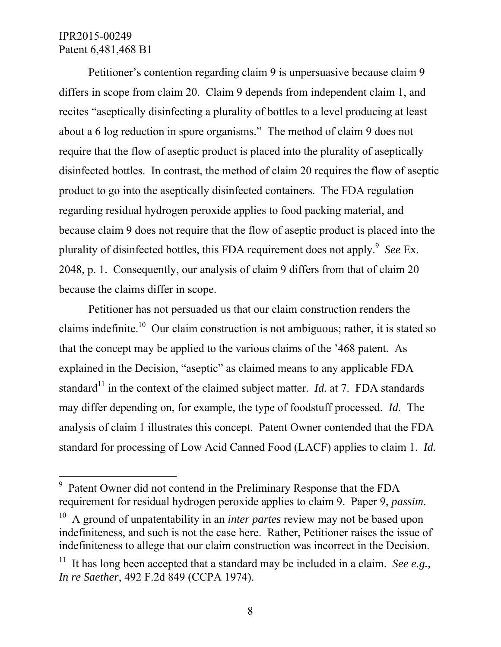-

Petitioner's contention regarding claim 9 is unpersuasive because claim 9 differs in scope from claim 20. Claim 9 depends from independent claim 1, and recites "aseptically disinfecting a plurality of bottles to a level producing at least about a 6 log reduction in spore organisms." The method of claim 9 does not require that the flow of aseptic product is placed into the plurality of aseptically disinfected bottles. In contrast, the method of claim 20 requires the flow of aseptic product to go into the aseptically disinfected containers. The FDA regulation regarding residual hydrogen peroxide applies to food packing material, and because claim 9 does not require that the flow of aseptic product is placed into the plurality of disinfected bottles, this FDA requirement does not apply.<sup>9</sup> See Ex. 2048, p. 1. Consequently, our analysis of claim 9 differs from that of claim 20 because the claims differ in scope.

Petitioner has not persuaded us that our claim construction renders the claims indefinite.<sup>10</sup> Our claim construction is not ambiguous; rather, it is stated so that the concept may be applied to the various claims of the '468 patent. As explained in the Decision, "aseptic" as claimed means to any applicable FDA standard<sup>11</sup> in the context of the claimed subject matter. *Id.* at 7. FDA standards may differ depending on, for example, the type of foodstuff processed. *Id.* The analysis of claim 1 illustrates this concept. Patent Owner contended that the FDA standard for processing of Low Acid Canned Food (LACF) applies to claim 1. *Id.*

<sup>9</sup> Patent Owner did not contend in the Preliminary Response that the FDA requirement for residual hydrogen peroxide applies to claim 9. Paper 9, *passim*.

<sup>&</sup>lt;sup>10</sup> A ground of unpatentability in an *inter partes* review may not be based upon indefiniteness, and such is not the case here. Rather, Petitioner raises the issue of indefiniteness to allege that our claim construction was incorrect in the Decision.

<sup>&</sup>lt;sup>11</sup> It has long been accepted that a standard may be included in a claim. *See e.g.*, *In re Saether*, 492 F.2d 849 (CCPA 1974).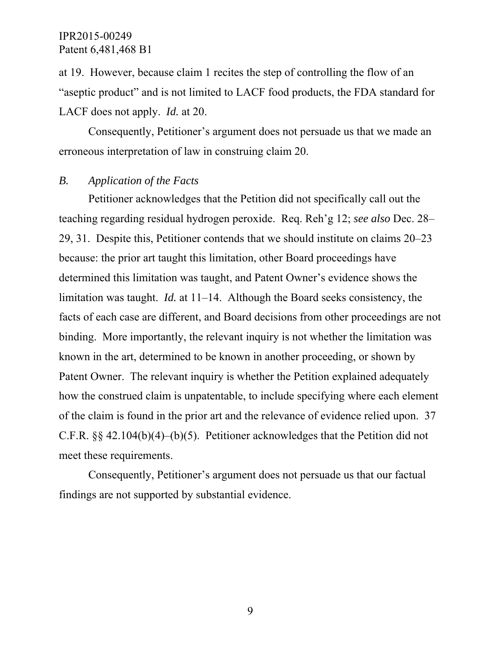at 19. However, because claim 1 recites the step of controlling the flow of an "aseptic product" and is not limited to LACF food products, the FDA standard for LACF does not apply. *Id.* at 20.

Consequently, Petitioner's argument does not persuade us that we made an erroneous interpretation of law in construing claim 20.

#### *B. Application of the Facts*

Petitioner acknowledges that the Petition did not specifically call out the teaching regarding residual hydrogen peroxide. Req. Reh'g 12; *see also* Dec. 28– 29, 31. Despite this, Petitioner contends that we should institute on claims 20–23 because: the prior art taught this limitation, other Board proceedings have determined this limitation was taught, and Patent Owner's evidence shows the limitation was taught. *Id.* at 11–14. Although the Board seeks consistency, the facts of each case are different, and Board decisions from other proceedings are not binding. More importantly, the relevant inquiry is not whether the limitation was known in the art, determined to be known in another proceeding, or shown by Patent Owner. The relevant inquiry is whether the Petition explained adequately how the construed claim is unpatentable, to include specifying where each element of the claim is found in the prior art and the relevance of evidence relied upon. 37 C.F.R. §§ 42.104(b)(4)–(b)(5). Petitioner acknowledges that the Petition did not meet these requirements.

Consequently, Petitioner's argument does not persuade us that our factual findings are not supported by substantial evidence.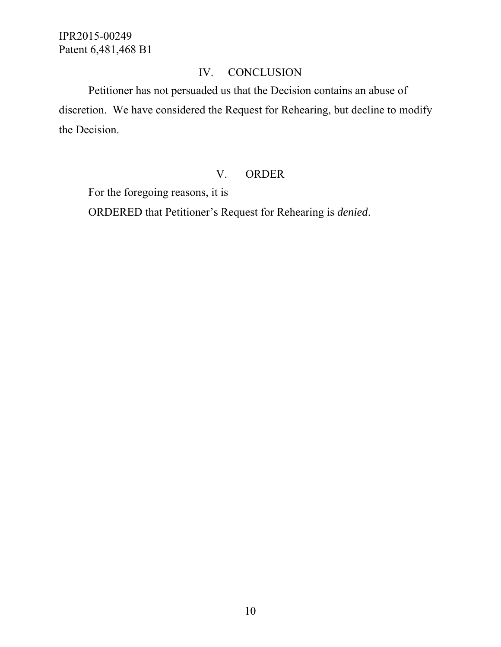# IV. CONCLUSION

 Petitioner has not persuaded us that the Decision contains an abuse of discretion. We have considered the Request for Rehearing, but decline to modify the Decision.

### V. ORDER

For the foregoing reasons, it is

ORDERED that Petitioner's Request for Rehearing is *denied*.